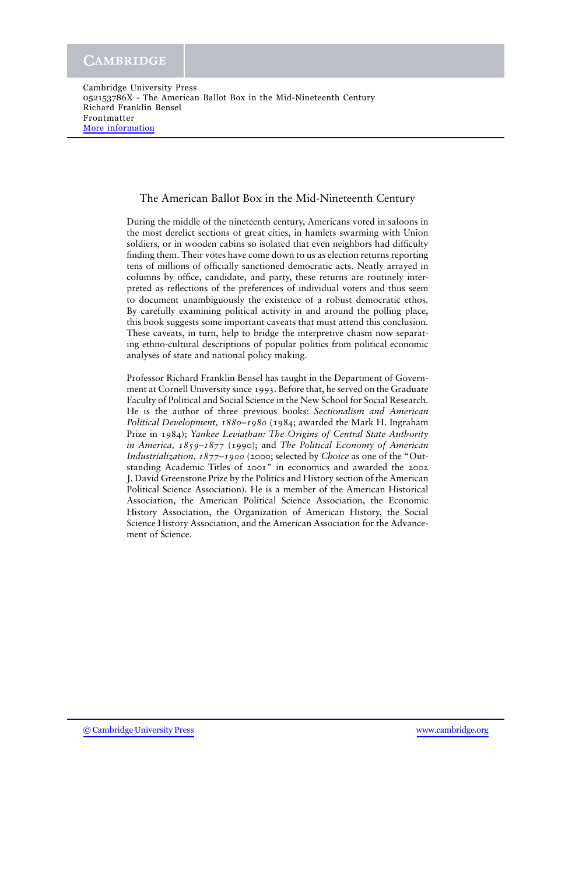### The American Ballot Box in the Mid-Nineteenth Century

During the middle of the nineteenth century, Americans voted in saloons in the most derelict sections of great cities, in hamlets swarming with Union soldiers, or in wooden cabins so isolated that even neighbors had difficulty finding them. Their votes have come down to us as election returns reporting tens of millions of officially sanctioned democratic acts. Neatly arrayed in columns by office, candidate, and party, these returns are routinely interpreted as reflections of the preferences of individual voters and thus seem to document unambiguously the existence of a robust democratic ethos. By carefully examining political activity in and around the polling place, this book suggests some important caveats that must attend this conclusion. These caveats, in turn, help to bridge the interpretive chasm now separating ethno-cultural descriptions of popular politics from political economic analyses of state and national policy making.

Professor Richard Franklin Bensel has taught in the Department of Government at Cornell University since 1993. Before that, he served on the Graduate Faculty of Political and Social Science in the New School for Social Research. He is the author of three previous books: *Sectionalism and American Political Development, 1880–1980* (1984; awarded the Mark H. Ingraham Prize in 1984); *Yankee Leviathan: The Origins of Central State Authority in America, 1859–1877* (1990); and *The Political Economy of American Industrialization, 1877–1900* (2000; selected by *Choice* as one of the "Outstanding Academic Titles of 2001" in economics and awarded the 2002 J. David Greenstone Prize by the Politics and History section of the American Political Science Association). He is a member of the American Historical Association, the American Political Science Association, the Economic History Association, the Organization of American History, the Social Science History Association, and the American Association for the Advancement of Science.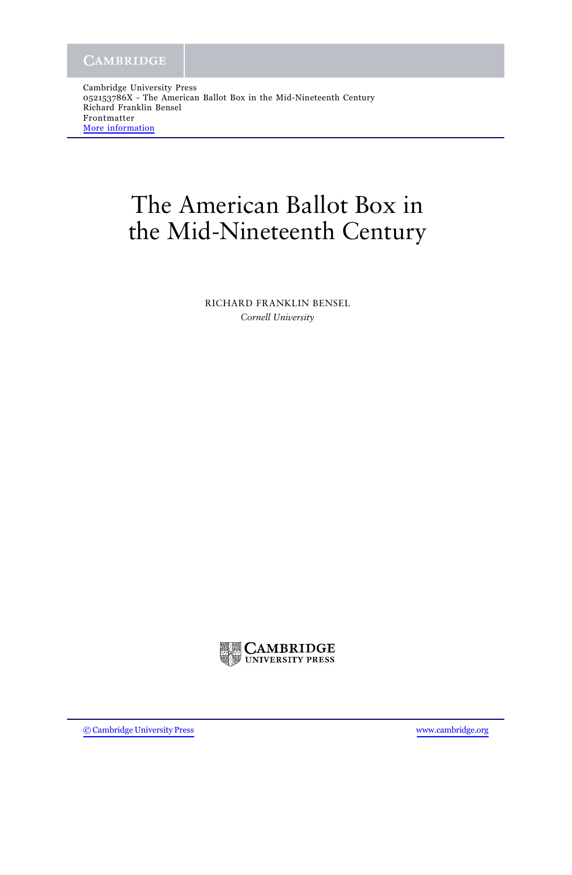Cambridge University Press 052153786X - The American Ballot Box in the Mid-Nineteenth Century Richard Franklin Bensel Frontmatter [More information](http://www.cambridge.org/052153786X)

# The American Ballot Box in the Mid-Nineteenth Century

RICHARD FRANKLIN BENSEL *Cornell University*

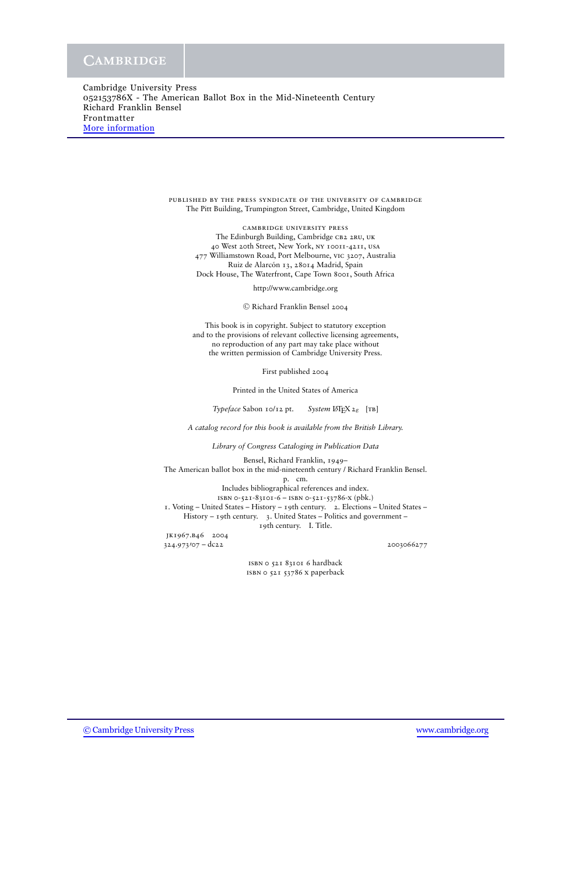published by the press syndicate of the university of cambridge The Pitt Building, Trumpington Street, Cambridge, United Kingdom

cambridge university press The Edinburgh Building, Cambridge CB2 2RU, UK 40 West 20th Street, New York, ny 10011-4211, usa 477 Williamstown Road, Port Melbourne, vic 3207, Australia Ruiz de Alarcón 13, 28014 Madrid, Spain Dock House, The Waterfront, Cape Town 8001, South Africa

http://www.cambridge.org

<sup>C</sup> Richard Franklin Bensel 2004

This book is in copyright. Subject to statutory exception and to the provisions of relevant collective licensing agreements, no reproduction of any part may take place without the written permission of Cambridge University Press.

First published 2004

Printed in the United States of America

*Typeface* Sabon 10/12 pt. *System* LAT<sub>E</sub>X 2<sub>ε</sub> [TB]

*A catalogrecord for this book is available from the British Library.*

*Library of Congress Cataloging in Publication Data*

Bensel, Richard Franklin, 1949– The American ballot box in the mid-nineteenth century / Richard Franklin Bensel. p. cm. Includes bibliographical references and index. isbn 0-521-83101-6 – isbn 0-521-53786-x (pbk.) 1. Voting – United States – History – 19th century. 2. Elections – United States – History – 19th century. 3. United States – Politics and government – 19th century. I. Title. jk1967.b46 2004 324.973/07 - dc22 2003066277

> isbn 0 521 83101 6 hardback isbn 0 521 53786 x paperback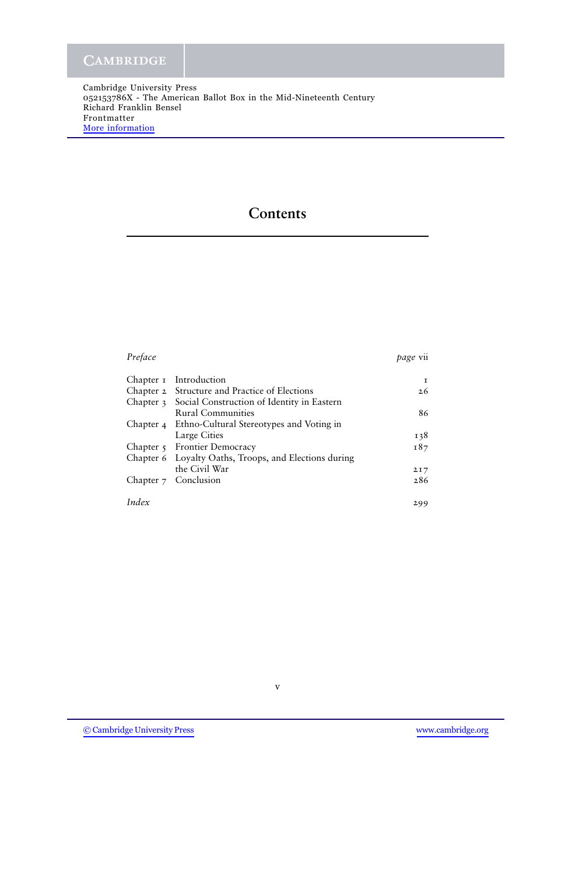Cambridge University Press 052153786X - The American Ballot Box in the Mid-Nineteenth Century Richard Franklin Bensel Frontmatter [More information](http://www.cambridge.org/052153786X)

## **Contents**

| Preface |                                                       | page vii    |
|---------|-------------------------------------------------------|-------------|
|         | Chapter I Introduction                                | $\mathbf T$ |
|         | Chapter 2 Structure and Practice of Elections         | 26          |
|         | Chapter 3 Social Construction of Identity in Eastern  |             |
|         | <b>Rural Communities</b>                              | 86          |
|         | Chapter 4 Ethno-Cultural Stereotypes and Voting in    |             |
|         | Large Cities                                          | 138         |
|         | Chapter 5 Frontier Democracy                          | 187         |
|         | Chapter 6 Loyalty Oaths, Troops, and Elections during |             |
|         | the Civil War                                         | 217         |
|         | Chapter 7 Conclusion                                  | 286         |
| Index   |                                                       | 299         |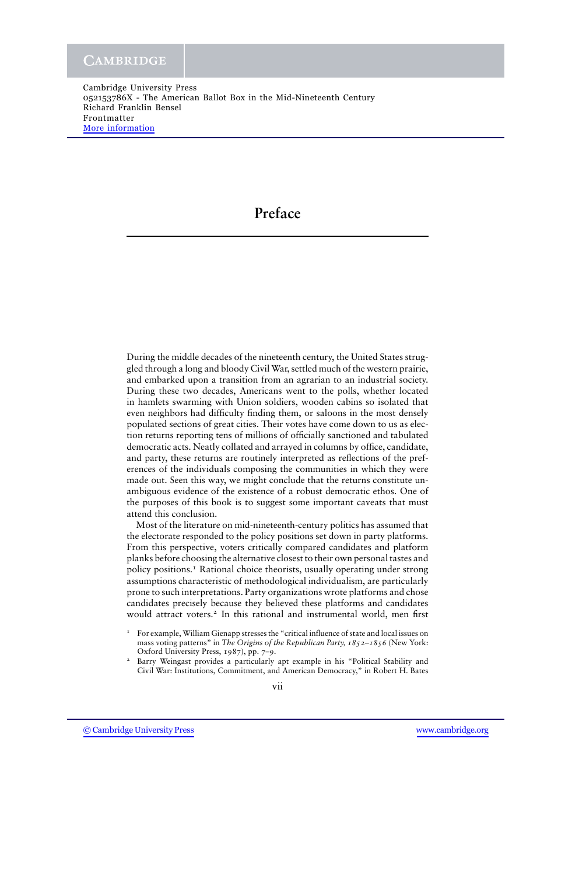Cambridge University Press 052153786X - The American Ballot Box in the Mid-Nineteenth Century Richard Franklin Bensel Frontmatter [More information](http://www.cambridge.org/052153786X)

# **Preface**

During the middle decades of the nineteenth century, the United States struggled through a long and bloody Civil War, settled much of the western prairie, and embarked upon a transition from an agrarian to an industrial society. During these two decades, Americans went to the polls, whether located in hamlets swarming with Union soldiers, wooden cabins so isolated that even neighbors had difficulty finding them, or saloons in the most densely populated sections of great cities. Their votes have come down to us as election returns reporting tens of millions of officially sanctioned and tabulated democratic acts. Neatly collated and arrayed in columns by office, candidate, and party, these returns are routinely interpreted as reflections of the preferences of the individuals composing the communities in which they were made out. Seen this way, we might conclude that the returns constitute unambiguous evidence of the existence of a robust democratic ethos. One of the purposes of this book is to suggest some important caveats that must attend this conclusion.

Most of the literature on mid-nineteenth-century politics has assumed that the electorate responded to the policy positions set down in party platforms. From this perspective, voters critically compared candidates and platform planks before choosing the alternative closest to their own personal tastes and policy positions.<sup>1</sup> Rational choice theorists, usually operating under strong assumptions characteristic of methodological individualism, are particularly prone to such interpretations. Party organizations wrote platforms and chose candidates precisely because they believed these platforms and candidates would attract voters.<sup>2</sup> In this rational and instrumental world, men first

 $I<sup>T</sup>$  For example, William Gienapp stresses the "critical influence of state and local issues on mass voting patterns" in *The Origins of the Republican Party, 1852–1856* (New York: Oxford University Press, 1987), pp. 7–9.

<sup>&</sup>lt;sup>2</sup> Barry Weingast provides a particularly apt example in his "Political Stability and Civil War: Institutions, Commitment, and American Democracy," in Robert H. Bates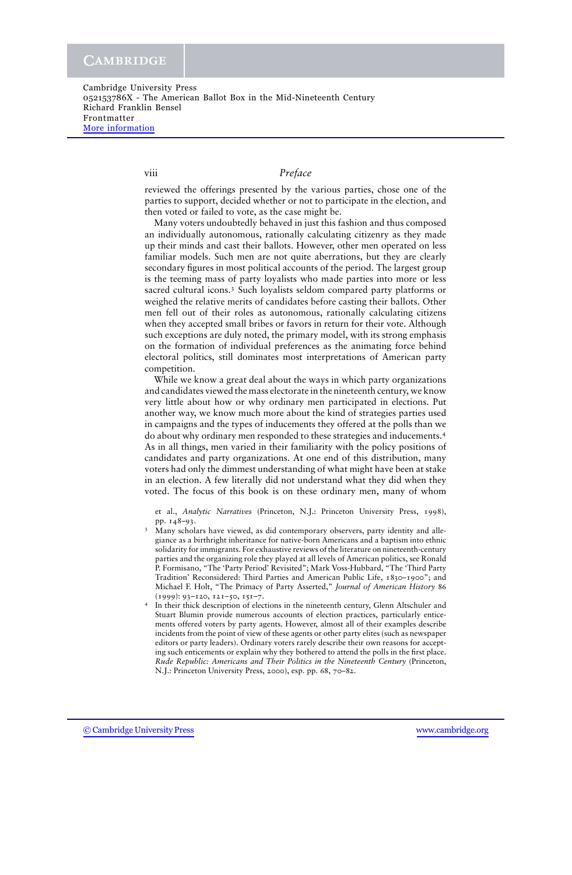#### viii *Preface*

reviewed the offerings presented by the various parties, chose one of the parties to support, decided whether or not to participate in the election, and then voted or failed to vote, as the case might be.

Many voters undoubtedly behaved in just this fashion and thus composed an individually autonomous, rationally calculating citizenry as they made up their minds and cast their ballots. However, other men operated on less familiar models. Such men are not quite aberrations, but they are clearly secondary figures in most political accounts of the period. The largest group is the teeming mass of party loyalists who made parties into more or less sacred cultural icons.<sup>3</sup> Such loyalists seldom compared party platforms or weighed the relative merits of candidates before casting their ballots. Other men fell out of their roles as autonomous, rationally calculating citizens when they accepted small bribes or favors in return for their vote. Although such exceptions are duly noted, the primary model, with its strong emphasis on the formation of individual preferences as the animating force behind electoral politics, still dominates most interpretations of American party competition.

While we know a great deal about the ways in which party organizations and candidates viewed the mass electorate in the nineteenth century, we know very little about how or why ordinary men participated in elections. Put another way, we know much more about the kind of strategies parties used in campaigns and the types of inducements they offered at the polls than we do about why ordinary men responded to these strategies and inducements.<sup>4</sup> As in all things, men varied in their familiarity with the policy positions of candidates and party organizations. At one end of this distribution, many voters had only the dimmest understanding of what might have been at stake in an election. A few literally did not understand what they did when they voted. The focus of this book is on these ordinary men, many of whom

et al., *Analytic Narratives* (Princeton, N.J.: Princeton University Press, 1998), pp. 148–93.

- <sup>3</sup> Many scholars have viewed, as did contemporary observers, party identity and allegiance as a birthright inheritance for native-born Americans and a baptism into ethnic solidarity for immigrants. For exhaustive reviews of the literature on nineteenth-century parties and the organizing role they played at all levels of American politics, see Ronald P. Formisano, "The 'Party Period' Revisited"; Mark Voss-Hubbard, "The 'Third Party Tradition' Reconsidered: Third Parties and American Public Life, 1830–1900"; and Michael F. Holt, "The Primacy of Party Asserted," *Journal of American History* 86 (1999): 93–120, 121–50, 151–7.
- <sup>4</sup> In their thick description of elections in the nineteenth century, Glenn Altschuler and Stuart Blumin provide numerous accounts of election practices, particularly enticements offered voters by party agents. However, almost all of their examples describe incidents from the point of view of these agents or other party elites (such as newspaper editors or party leaders). Ordinary voters rarely describe their own reasons for accepting such enticements or explain why they bothered to attend the polls in the first place. *Rude Republic: Americans and Their Politics in the Nineteenth Century* (Princeton, N.J.: Princeton University Press, 2000), esp. pp. 68, 70–82.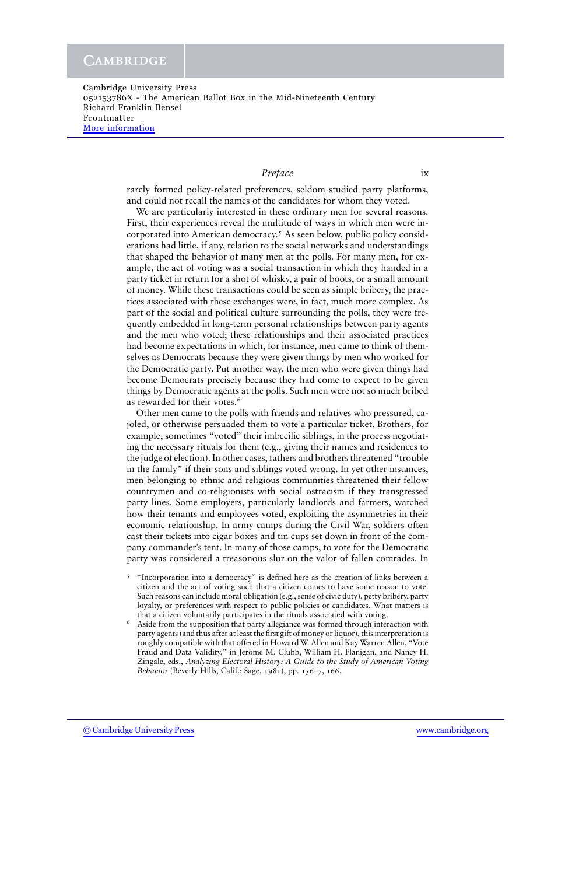#### *Preface* ix

rarely formed policy-related preferences, seldom studied party platforms, and could not recall the names of the candidates for whom they voted.

We are particularly interested in these ordinary men for several reasons. First, their experiences reveal the multitude of ways in which men were incorporated into American democracy.<sup>5</sup> As seen below, public policy considerations had little, if any, relation to the social networks and understandings that shaped the behavior of many men at the polls. For many men, for example, the act of voting was a social transaction in which they handed in a party ticket in return for a shot of whisky, a pair of boots, or a small amount of money. While these transactions could be seen as simple bribery, the practices associated with these exchanges were, in fact, much more complex. As part of the social and political culture surrounding the polls, they were frequently embedded in long-term personal relationships between party agents and the men who voted; these relationships and their associated practices had become expectations in which, for instance, men came to think of themselves as Democrats because they were given things by men who worked for the Democratic party. Put another way, the men who were given things had become Democrats precisely because they had come to expect to be given things by Democratic agents at the polls. Such men were not so much bribed as rewarded for their votes.<sup>6</sup>

Other men came to the polls with friends and relatives who pressured, cajoled, or otherwise persuaded them to vote a particular ticket. Brothers, for example, sometimes "voted" their imbecilic siblings, in the process negotiating the necessary rituals for them (e.g., giving their names and residences to the judge of election). In other cases, fathers and brothers threatened "trouble in the family" if their sons and siblings voted wrong. In yet other instances, men belonging to ethnic and religious communities threatened their fellow countrymen and co-religionists with social ostracism if they transgressed party lines. Some employers, particularly landlords and farmers, watched how their tenants and employees voted, exploiting the asymmetries in their economic relationship. In army camps during the Civil War, soldiers often cast their tickets into cigar boxes and tin cups set down in front of the company commander's tent. In many of those camps, to vote for the Democratic party was considered a treasonous slur on the valor of fallen comrades. In

- <sup>5</sup> "Incorporation into a democracy" is defined here as the creation of links between a citizen and the act of voting such that a citizen comes to have some reason to vote. Such reasons can include moral obligation (e.g., sense of civic duty), petty bribery, party loyalty, or preferences with respect to public policies or candidates. What matters is that a citizen voluntarily participates in the rituals associated with voting.
- <sup>6</sup> Aside from the supposition that party allegiance was formed through interaction with party agents (and thus after at least the first gift of money or liquor), this interpretation is roughly compatible with that offered in Howard W. Allen and Kay Warren Allen, "Vote Fraud and Data Validity," in Jerome M. Clubb, William H. Flanigan, and Nancy H. Zingale, eds., *AnalyzingElectoral History: A Guide to the Study of American Voting Behavior* (Beverly Hills, Calif.: Sage, 1981), pp. 156–7, 166.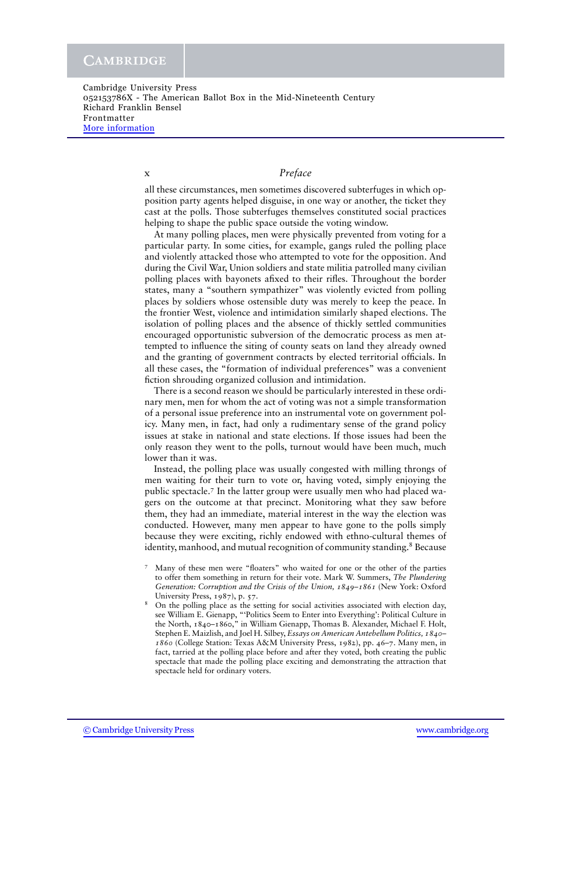### x *Preface*

all these circumstances, men sometimes discovered subterfuges in which opposition party agents helped disguise, in one way or another, the ticket they cast at the polls. Those subterfuges themselves constituted social practices helping to shape the public space outside the voting window.

At many polling places, men were physically prevented from voting for a particular party. In some cities, for example, gangs ruled the polling place and violently attacked those who attempted to vote for the opposition. And during the Civil War, Union soldiers and state militia patrolled many civilian polling places with bayonets afixed to their rifles. Throughout the border states, many a "southern sympathizer" was violently evicted from polling places by soldiers whose ostensible duty was merely to keep the peace. In the frontier West, violence and intimidation similarly shaped elections. The isolation of polling places and the absence of thickly settled communities encouraged opportunistic subversion of the democratic process as men attempted to influence the siting of county seats on land they already owned and the granting of government contracts by elected territorial officials. In all these cases, the "formation of individual preferences" was a convenient fiction shrouding organized collusion and intimidation.

There is a second reason we should be particularly interested in these ordinary men, men for whom the act of voting was not a simple transformation of a personal issue preference into an instrumental vote on government policy. Many men, in fact, had only a rudimentary sense of the grand policy issues at stake in national and state elections. If those issues had been the only reason they went to the polls, turnout would have been much, much lower than it was.

Instead, the polling place was usually congested with milling throngs of men waiting for their turn to vote or, having voted, simply enjoying the public spectacle.<sup>7</sup> In the latter group were usually men who had placed wagers on the outcome at that precinct. Monitoring what they saw before them, they had an immediate, material interest in the way the election was conducted. However, many men appear to have gone to the polls simply because they were exciting, richly endowed with ethno-cultural themes of identity, manhood, and mutual recognition of community standing.<sup>8</sup> Because

- <sup>7</sup> Many of these men were "floaters" who waited for one or the other of the parties to offer them something in return for their vote. Mark W. Summers, *The Plundering Generation: Corruption and the Crisis of the Union, 1849–1861* (New York: Oxford University Press, 1987), p. 57.
- <sup>8</sup> On the polling place as the setting for social activities associated with election day, see William E. Gienapp, "'Politics Seem to Enter into Everything': Political Culture in the North, 1840–1860," in William Gienapp, Thomas B. Alexander, Michael F. Holt, Stephen E. Maizlish, and Joel H. Silbey, *Essays on American Antebellum Politics, 1840– 1860* (College Station: Texas A&M University Press, 1982), pp. 46–7. Many men, in fact, tarried at the polling place before and after they voted, both creating the public spectacle that made the polling place exciting and demonstrating the attraction that spectacle held for ordinary voters.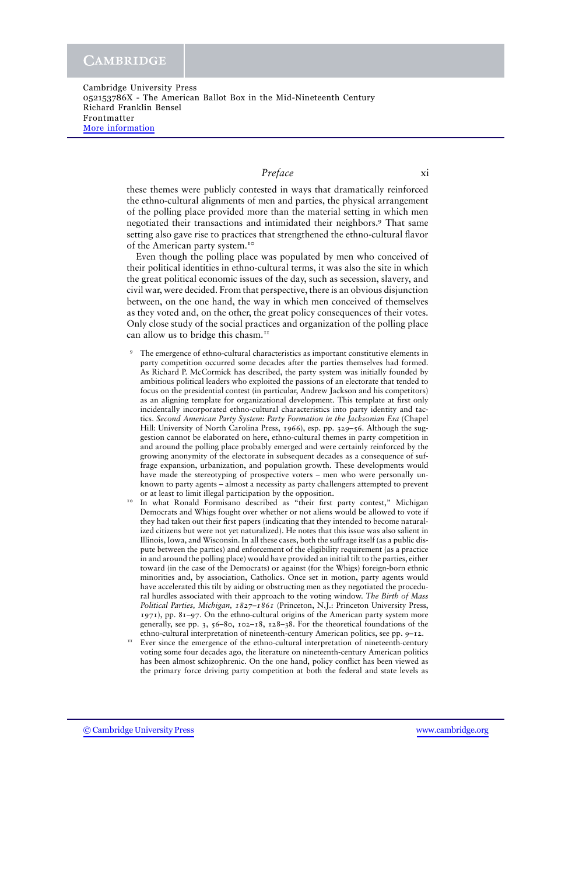#### *Preface* xi

these themes were publicly contested in ways that dramatically reinforced the ethno-cultural alignments of men and parties, the physical arrangement of the polling place provided more than the material setting in which men negotiated their transactions and intimidated their neighbors.<sup>9</sup> That same setting also gave rise to practices that strengthened the ethno-cultural flavor of the American party system.<sup>10</sup>

Even though the polling place was populated by men who conceived of their political identities in ethno-cultural terms, it was also the site in which the great political economic issues of the day, such as secession, slavery, and civil war, were decided. From that perspective, there is an obvious disjunction between, on the one hand, the way in which men conceived of themselves as they voted and, on the other, the great policy consequences of their votes. Only close study of the social practices and organization of the polling place can allow us to bridge this chasm.<sup>11</sup>

- The emergence of ethno-cultural characteristics as important constitutive elements in party competition occurred some decades after the parties themselves had formed. As Richard P. McCormick has described, the party system was initially founded by ambitious political leaders who exploited the passions of an electorate that tended to focus on the presidential contest (in particular, Andrew Jackson and his competitors) as an aligning template for organizational development. This template at first only incidentally incorporated ethno-cultural characteristics into party identity and tactics. *Second American Party System: Party Formation in the Jacksonian Era* (Chapel Hill: University of North Carolina Press, 1966), esp. pp. 329–56. Although the suggestion cannot be elaborated on here, ethno-cultural themes in party competition in and around the polling place probably emerged and were certainly reinforced by the growing anonymity of the electorate in subsequent decades as a consequence of suffrage expansion, urbanization, and population growth. These developments would have made the stereotyping of prospective voters – men who were personally unknown to party agents – almost a necessity as party challengers attempted to prevent or at least to limit illegal participation by the opposition.
- <sup>10</sup> In what Ronald Formisano described as "their first party contest," Michigan Democrats and Whigs fought over whether or not aliens would be allowed to vote if they had taken out their first papers (indicating that they intended to become naturalized citizens but were not yet naturalized). He notes that this issue was also salient in Illinois, Iowa, and Wisconsin. In all these cases, both the suffrage itself (as a public dispute between the parties) and enforcement of the eligibility requirement (as a practice in and around the polling place) would have provided an initial tilt to the parties, either toward (in the case of the Democrats) or against (for the Whigs) foreign-born ethnic minorities and, by association, Catholics. Once set in motion, party agents would have accelerated this tilt by aiding or obstructing men as they negotiated the procedural hurdles associated with their approach to the voting window. *The Birth of Mass Political Parties, Michigan, 1827–1861* (Princeton, N.J.: Princeton University Press, 1971), pp. 81–97. On the ethno-cultural origins of the American party system more generally, see pp. 3, 56–80, 102–18, 128–38. For the theoretical foundations of the ethno-cultural interpretation of nineteenth-century American politics, see pp. 9–12.
- <sup>11</sup> Ever since the emergence of the ethno-cultural interpretation of nineteenth-century voting some four decades ago, the literature on nineteenth-century American politics has been almost schizophrenic. On the one hand, policy conflict has been viewed as the primary force driving party competition at both the federal and state levels as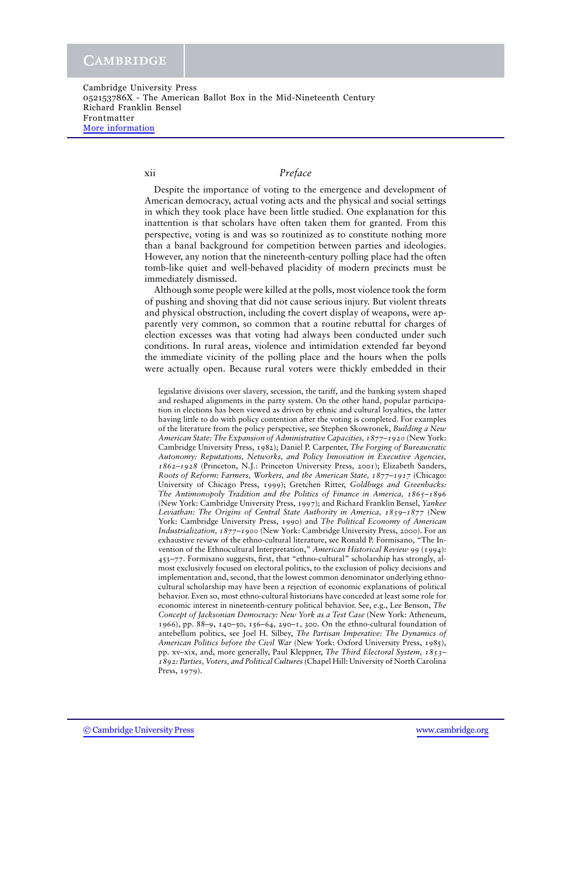#### xii *Preface*

Despite the importance of voting to the emergence and development of American democracy, actual voting acts and the physical and social settings in which they took place have been little studied. One explanation for this inattention is that scholars have often taken them for granted. From this perspective, voting is and was so routinized as to constitute nothing more than a banal background for competition between parties and ideologies. However, any notion that the nineteenth-century polling place had the often tomb-like quiet and well-behaved placidity of modern precincts must be immediately dismissed.

Although some people were killed at the polls, most violence took the form of pushing and shoving that did not cause serious injury. But violent threats and physical obstruction, including the covert display of weapons, were apparently very common, so common that a routine rebuttal for charges of election excesses was that voting had always been conducted under such conditions. In rural areas, violence and intimidation extended far beyond the immediate vicinity of the polling place and the hours when the polls were actually open. Because rural voters were thickly embedded in their

legislative divisions over slavery, secession, the tariff, and the banking system shaped and reshaped alignments in the party system. On the other hand, popular participation in elections has been viewed as driven by ethnic and cultural loyalties, the latter having little to do with policy contention after the voting is completed. For examples of the literature from the policy perspective, see Stephen Skowronek, *Buildinga New American State: The Expansion of Administrative Capacities, 1877–1920* (New York: Cambridge University Press, 1982); Daniel P. Carpenter, *The Forging of Bureaucratic Autonomy: Reputations, Networks, and Policy Innovation in Executive Agencies, 1862–1928* (Princeton, N.J.: Princeton University Press, 2001); Elizabeth Sanders, *Roots of Reform: Farmers, Workers, and the American State, 1877–1917* (Chicago: University of Chicago Press, 1999); Gretchen Ritter, *Goldbugs and Greenbacks: The Antimonopoly Tradition and the Politics of Finance in America, 1865–1896* (New York: Cambridge University Press, 1997); and Richard Franklin Bensel, *Yankee Leviathan: The Origins of Central State Authority in America, 1859–1877* (New York: Cambridge University Press, 1990) and *The Political Economy of American Industrialization, 1877–1900* (New York: Cambridge University Press, 2000). For an exhaustive review of the ethno-cultural literature, see Ronald P. Formisano, "The Invention of the Ethnocultural Interpretation," *American Historical Review* 99 (1994): 453–77. Formisano suggests, first, that "ethno-cultural" scholarship has strongly, almost exclusively focused on electoral politics, to the exclusion of policy decisions and implementation and, second, that the lowest common denominator underlying ethnocultural scholarship may have been a rejection of economic explanations of political behavior. Even so, most ethno-cultural historians have conceded at least some role for economic interest in nineteenth-century political behavior. See, e.g., Lee Benson, *The Concept of Jacksonian Democracy: New York as a Test Case* (New York: Atheneum, 1966), pp. 88–9, 140–50, 156–64, 290–1, 300. On the ethno-cultural foundation of antebellum politics, see Joel H. Silbey, *The Partisan Imperative: The Dynamics of American Politics before the Civil War* (New York: Oxford University Press, 1985), pp. xv–xix, and, more generally, Paul Kleppner, *The Third Electoral System, 1853– 1892: Parties, Voters, and Political Cultures*(Chapel Hill: University of North Carolina Press, 1979).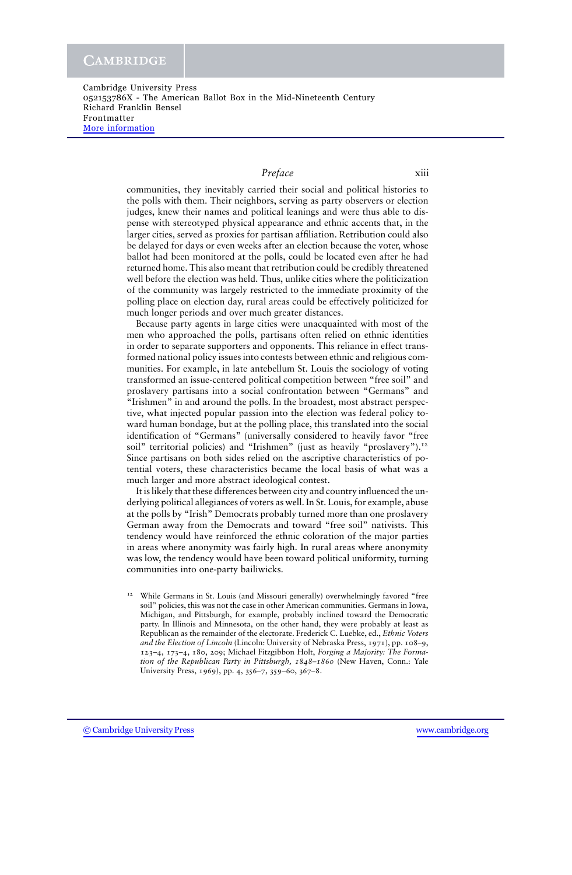### *Preface* xiii

communities, they inevitably carried their social and political histories to the polls with them. Their neighbors, serving as party observers or election judges, knew their names and political leanings and were thus able to dispense with stereotyped physical appearance and ethnic accents that, in the larger cities, served as proxies for partisan affiliation. Retribution could also be delayed for days or even weeks after an election because the voter, whose ballot had been monitored at the polls, could be located even after he had returned home. This also meant that retribution could be credibly threatened well before the election was held. Thus, unlike cities where the politicization of the community was largely restricted to the immediate proximity of the polling place on election day, rural areas could be effectively politicized for much longer periods and over much greater distances.

Because party agents in large cities were unacquainted with most of the men who approached the polls, partisans often relied on ethnic identities in order to separate supporters and opponents. This reliance in effect transformed national policy issues into contests between ethnic and religious communities. For example, in late antebellum St. Louis the sociology of voting transformed an issue-centered political competition between "free soil" and proslavery partisans into a social confrontation between "Germans" and "Irishmen" in and around the polls. In the broadest, most abstract perspective, what injected popular passion into the election was federal policy toward human bondage, but at the polling place, this translated into the social identification of "Germans" (universally considered to heavily favor "free soil" territorial policies) and "Irishmen" (just as heavily "proslavery").<sup>12</sup> Since partisans on both sides relied on the ascriptive characteristics of potential voters, these characteristics became the local basis of what was a much larger and more abstract ideological contest.

It is likely that these differences between city and country influenced the underlying political allegiances of voters as well. In St. Louis, for example, abuse at the polls by "Irish" Democrats probably turned more than one proslavery German away from the Democrats and toward "free soil" nativists. This tendency would have reinforced the ethnic coloration of the major parties in areas where anonymity was fairly high. In rural areas where anonymity was low, the tendency would have been toward political uniformity, turning communities into one-party bailiwicks.

 $12$  While Germans in St. Louis (and Missouri generally) overwhelmingly favored "free soil" policies, this was not the case in other American communities. Germans in Iowa, Michigan, and Pittsburgh, for example, probably inclined toward the Democratic party. In Illinois and Minnesota, on the other hand, they were probably at least as Republican as the remainder of the electorate. Frederick C. Luebke, ed., *Ethnic Voters and the Election of Lincoln* (Lincoln: University of Nebraska Press, 1971), pp. 108–9, 123–4, 173–4, 180, 209; Michael Fitzgibbon Holt, *Forging a Majority: The Formation of the Republican Party in Pittsburgh, 1848–1860* (New Haven, Conn.: Yale University Press, 1969), pp. 4, 356–7, 359–60, 367–8.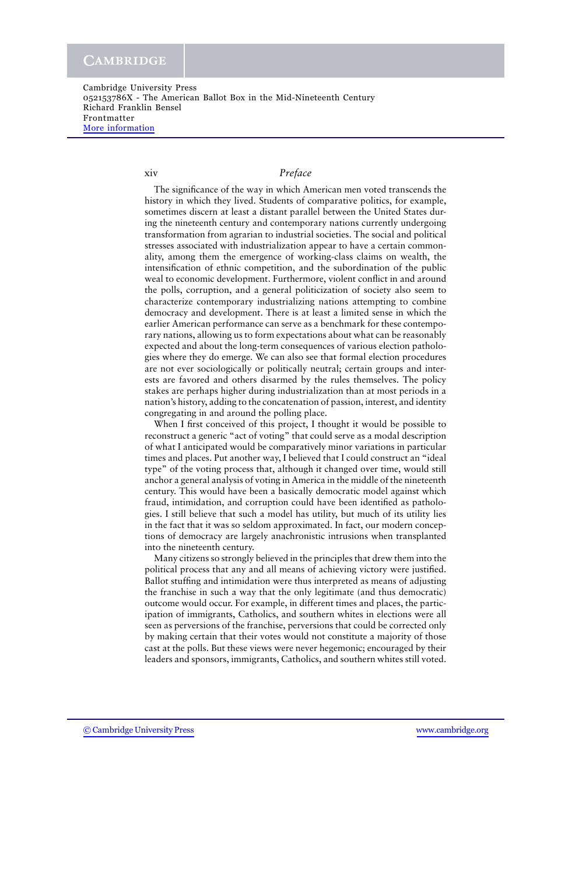### xiv *Preface*

The significance of the way in which American men voted transcends the history in which they lived. Students of comparative politics, for example, sometimes discern at least a distant parallel between the United States during the nineteenth century and contemporary nations currently undergoing transformation from agrarian to industrial societies. The social and political stresses associated with industrialization appear to have a certain commonality, among them the emergence of working-class claims on wealth, the intensification of ethnic competition, and the subordination of the public weal to economic development. Furthermore, violent conflict in and around the polls, corruption, and a general politicization of society also seem to characterize contemporary industrializing nations attempting to combine democracy and development. There is at least a limited sense in which the earlier American performance can serve as a benchmark for these contemporary nations, allowing us to form expectations about what can be reasonably expected and about the long-term consequences of various election pathologies where they do emerge. We can also see that formal election procedures are not ever sociologically or politically neutral; certain groups and interests are favored and others disarmed by the rules themselves. The policy stakes are perhaps higher during industrialization than at most periods in a nation's history, adding to the concatenation of passion, interest, and identity congregating in and around the polling place.

When I first conceived of this project, I thought it would be possible to reconstruct a generic "act of voting" that could serve as a modal description of what I anticipated would be comparatively minor variations in particular times and places. Put another way, I believed that I could construct an "ideal type" of the voting process that, although it changed over time, would still anchor a general analysis of voting in America in the middle of the nineteenth century. This would have been a basically democratic model against which fraud, intimidation, and corruption could have been identified as pathologies. I still believe that such a model has utility, but much of its utility lies in the fact that it was so seldom approximated. In fact, our modern conceptions of democracy are largely anachronistic intrusions when transplanted into the nineteenth century.

Many citizens so strongly believed in the principles that drew them into the political process that any and all means of achieving victory were justified. Ballot stuffing and intimidation were thus interpreted as means of adjusting the franchise in such a way that the only legitimate (and thus democratic) outcome would occur. For example, in different times and places, the participation of immigrants, Catholics, and southern whites in elections were all seen as perversions of the franchise, perversions that could be corrected only by making certain that their votes would not constitute a majority of those cast at the polls. But these views were never hegemonic; encouraged by their leaders and sponsors, immigrants, Catholics, and southern whites still voted.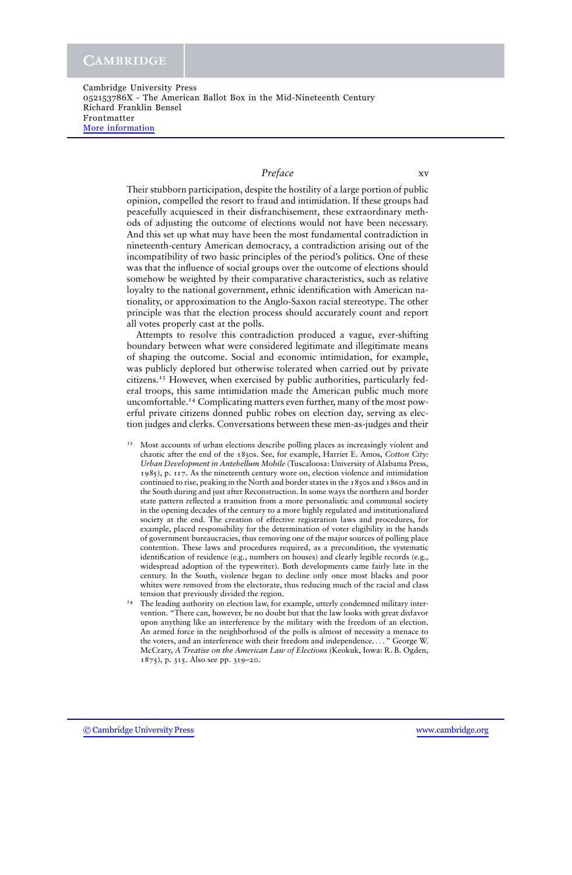#### *Preface* xv

Their stubborn participation, despite the hostility of a large portion of public opinion, compelled the resort to fraud and intimidation. If these groups had peacefully acquiesced in their disfranchisement, these extraordinary methods of adjusting the outcome of elections would not have been necessary. And this set up what may have been the most fundamental contradiction in nineteenth-century American democracy, a contradiction arising out of the incompatibility of two basic principles of the period's politics. One of these was that the influence of social groups over the outcome of elections should somehow be weighted by their comparative characteristics, such as relative loyalty to the national government, ethnic identification with American nationality, or approximation to the Anglo-Saxon racial stereotype. The other principle was that the election process should accurately count and report all votes properly cast at the polls.

Attempts to resolve this contradiction produced a vague, ever-shifting boundary between what were considered legitimate and illegitimate means of shaping the outcome. Social and economic intimidation, for example, was publicly deplored but otherwise tolerated when carried out by private citizens.<sup>13</sup> However, when exercised by public authorities, particularly federal troops, this same intimidation made the American public much more uncomfortable.<sup>14</sup> Complicating matters even further, many of the most powerful private citizens donned public robes on election day, serving as election judges and clerks. Conversations between these men-as-judges and their

- <sup>13</sup> Most accounts of urban elections describe polling places as increasingly violent and chaotic after the end of the 1830s. See, for example, Harriet E. Amos, *Cotton City: Urban Development in Antebellum Mobile* (Tuscaloosa: University of Alabama Press, 1985), p. 117. As the nineteenth century wore on, election violence and intimidation continued to rise, peaking in the North and border states in the 1850s and 1860s and in the South during and just after Reconstruction. In some ways the northern and border state pattern reflected a transition from a more personalistic and communal society in the opening decades of the century to a more highly regulated and institutionalized society at the end. The creation of effective registration laws and procedures, for example, placed responsibility for the determination of voter eligibility in the hands of government bureaucracies, thus removing one of the major sources of polling place contention. These laws and procedures required, as a precondition, the systematic identification of residence (e.g., numbers on houses) and clearly legible records (e.g., widespread adoption of the typewriter). Both developments came fairly late in the century. In the South, violence began to decline only once most blacks and poor whites were removed from the electorate, thus reducing much of the racial and class tension that previously divided the region.
- <sup>14</sup> The leading authority on election law, for example, utterly condemned military intervention. "There can, however, be no doubt but that the law looks with great disfavor upon anything like an interference by the military with the freedom of an election. An armed force in the neighborhood of the polls is almost of necessity a menace to the voters, and an interference with their freedom and independence. ... " George W. McCrary, *A Treatise on the American Law of Elections* (Keokuk, Iowa: R. B. Ogden, 1875), p. 315. Also see pp. 319–20.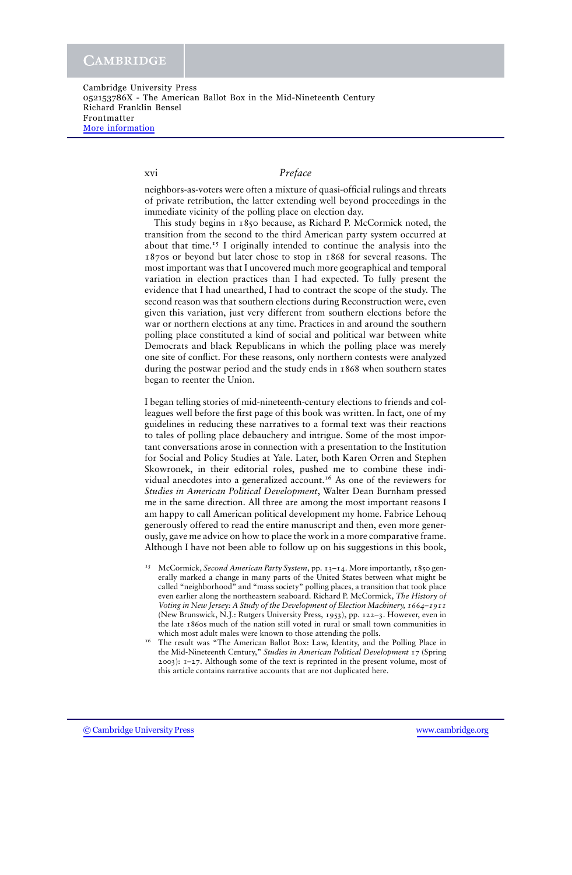### xvi *Preface*

neighbors-as-voters were often a mixture of quasi-official rulings and threats of private retribution, the latter extending well beyond proceedings in the immediate vicinity of the polling place on election day.

This study begins in 1850 because, as Richard P. McCormick noted, the transition from the second to the third American party system occurred at about that time.<sup>15</sup> I originally intended to continue the analysis into the 1870s or beyond but later chose to stop in 1868 for several reasons. The most important was that I uncovered much more geographical and temporal variation in election practices than I had expected. To fully present the evidence that I had unearthed, I had to contract the scope of the study. The second reason was that southern elections during Reconstruction were, even given this variation, just very different from southern elections before the war or northern elections at any time. Practices in and around the southern polling place constituted a kind of social and political war between white Democrats and black Republicans in which the polling place was merely one site of conflict. For these reasons, only northern contests were analyzed during the postwar period and the study ends in 1868 when southern states began to reenter the Union.

I began telling stories of mid-nineteenth-century elections to friends and colleagues well before the first page of this book was written. In fact, one of my guidelines in reducing these narratives to a formal text was their reactions to tales of polling place debauchery and intrigue. Some of the most important conversations arose in connection with a presentation to the Institution for Social and Policy Studies at Yale. Later, both Karen Orren and Stephen Skowronek, in their editorial roles, pushed me to combine these individual anecdotes into a generalized account.<sup>16</sup> As one of the reviewers for *Studies in American Political Development*, Walter Dean Burnham pressed me in the same direction. All three are among the most important reasons I am happy to call American political development my home. Fabrice Lehouq generously offered to read the entire manuscript and then, even more generously, gave me advice on how to place the work in a more comparative frame. Although I have not been able to follow up on his suggestions in this book,

- <sup>15</sup> McCormick, *Second American Party System*, pp. 13–14. More importantly, 1850 generally marked a change in many parts of the United States between what might be called "neighborhood" and "mass society" polling places, a transition that took place even earlier along the northeastern seaboard. Richard P. McCormick, *The History of* Voting in New Jersey: A Study of the Development of Election Machinery, 1664–1911 (New Brunswick, N.J.: Rutgers University Press, 1953), pp. 122–3. However, even in the late 1860s much of the nation still voted in rural or small town communities in which most adult males were known to those attending the polls.
- <sup>16</sup> The result was "The American Ballot Box: Law, Identity, and the Polling Place in the Mid-Nineteenth Century," *Studies in American Political Development* 17 (Spring  $2003$ :  $I - 27$ . Although some of the text is reprinted in the present volume, most of this article contains narrative accounts that are not duplicated here.